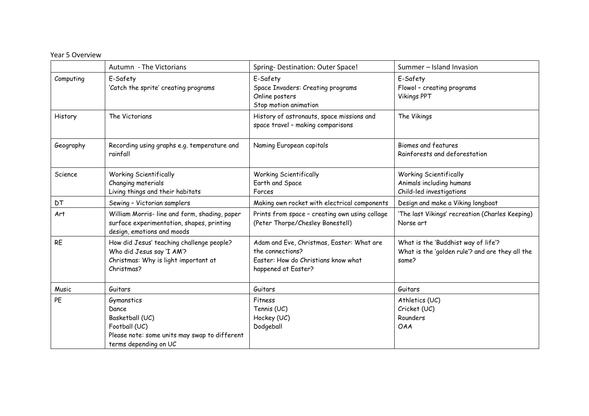## Year 5 Overview

|           | Autumn - The Victorians                                                                                                           | Spring- Destination: Outer Space!                                                                                           | Summer - Island Invasion                                                                        |
|-----------|-----------------------------------------------------------------------------------------------------------------------------------|-----------------------------------------------------------------------------------------------------------------------------|-------------------------------------------------------------------------------------------------|
| Computing | E-Safety<br>'Catch the sprite' creating programs                                                                                  | E-Safety<br>Space Invaders: Creating programs<br>Online posters<br>Stop motion animation                                    | E-Safety<br>Flowol - creating programs<br><b>Vikings PPT</b>                                    |
| History   | The Victorians                                                                                                                    | History of astronauts, space missions and<br>space travel - making comparisons                                              | The Vikings                                                                                     |
| Geography | Recording using graphs e.g. temperature and<br>rainfall                                                                           | Naming European capitals                                                                                                    | Biomes and features<br>Rainforests and deforestation                                            |
| Science   | <b>Working Scientifically</b><br>Changing materials<br>Living things and their habitats                                           | <b>Working Scientifically</b><br>Earth and Space<br>Forces                                                                  | <b>Working Scientifically</b><br>Animals including humans<br>Child-led investigations           |
| <b>DT</b> | Sewing - Victorian samplers                                                                                                       | Making own rocket with electrical components                                                                                | Design and make a Viking longboat                                                               |
| Art       | William Morris- line and form, shading, paper<br>surface experimentation, shapes, printing<br>design, emotions and moods          | Prints from space - creating own using collage<br>(Peter Thorpe/Chesley Bonestell)                                          | 'The last Vikings' recreation (Charles Keeping)<br>Norse art                                    |
| <b>RE</b> | How did Jesus' teaching challenge people?<br>Who did Jesus say 'I AM'?<br>Christmas: Why is light important at<br>Christmas?      | Adam and Eve, Christmas, Easter: What are<br>the connections?<br>Easter: How do Christians know what<br>happened at Easter? | What is the 'Buddhist way of life'?<br>What is the 'golden rule'? and are they all the<br>same? |
| Music     | Guitars                                                                                                                           | Guitars                                                                                                                     | Guitars                                                                                         |
| PE        | Gymanstics<br>Dance<br>Basketball (UC)<br>Football (UC)<br>Please note: some units may swap to different<br>terms depending on UC | Fitness<br>Tennis (UC)<br>Hockey (UC)<br>Dodgeball                                                                          | Athletics (UC)<br>Cricket (UC)<br>Rounders<br><b>OAA</b>                                        |